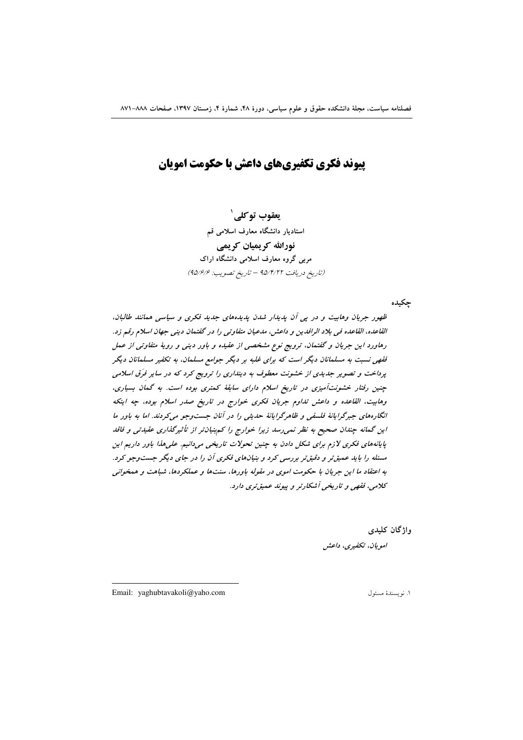**یبوند فکری تکفیریهای داعش یا حکومت امویان** 

يعقوب توكلي` استادیار دانشگاه معارف اسلامی قم نورالله کریمیان کریمی مربی گروه معارف اسلامی دانشگاه اراک (تاريخ دريافت ٩٥/٣/٢٢ - تاريخ تصويب: ٩٥/٤/٩)

چکیده

ظهور جریان وهابیت و در پی آن پدیدار شدن پدیدههای جدید فکری و سیاسی همانند طالبان، القاعده، القاعده في بلاد الرافدين و داعش، مدعيان متفاوتي را در گفتمان ديني جهان اسلام رقم زد. رهاورد این جریان و گفتمان، ترویج نوع مشخصی از عقیده و باور دینی و رویهٔ متفاوتی از عمل فقهی نسبت به مسلمانان دیگر است که برای غلبه بر دیگر جوامع مسلمان، به تکفیر مسلمانان دیگر پرداخت و تصویر جدیدی از خشونت معطوف به دینداری را ترویج کرد که در سایر فرّق اسلامی چنین رفتار خشونت آمیزی در تاریخ اسلام دارای سابقهٔ کمتری بوده است. به گمان بسیاری، وهابيت، القاعده و داعش تداوم جريان فكرى خوارج در تاريخ صدر اسلام بوده، جه اينكه انگارههای جبرگرایانهٔ فلسفی و ظاهرگرایانهٔ حدیثی را در آنان جست وجو می کردند. اما به باور ما این گمانه چندان صحیح به نظر نمی رسد زیرا خوارج را کم بنیان تر از تأثیرگذاری عقیدتی و فاقد پایانههای فکری لازم برای شکل دادن به چنین تحولات تاریخی میدانیم. علیهذا باور داریم این مسئله را باید عمیق تر و دقیق تر بررسی کرد و بنیانهای فکری آن را در جای دیگر جست وجو کرد. به اعتقاد ما این جریان با حکومت اموی در مقوله باورها، سنتها و عملکردها، شباهت و همخوانی کلامي، فقهي و تاريخي آشکارتر و پيوند عميق تري دارد.

واژگان کليدي

امويان، تكفيري، داعش

Email: yaghubtavakoli@yaho.com

١. نو يسندة مسئول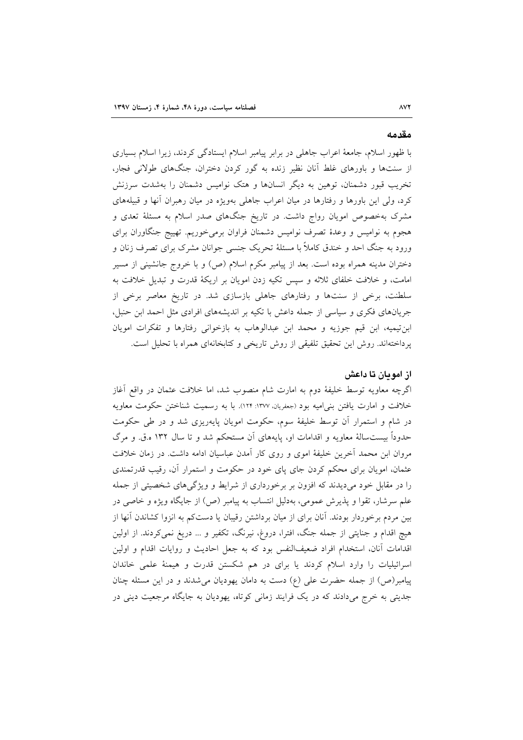### مقدمه

با ظهور اسلام، جامعهٔ اعراب جاهلی در برابر پیامبر اسلام ایستادگی کردند، زیرا اسلام بسیاری از سنتها و باورهای غلط آنان نظیر زنده به گور کردن دختران، جنگهای طولانی فجار، تخریب قبور دشمنان، توهین به دیگر انسانها و هتک نوامیس دشمنان را بهشدت سرزنش کرد، ولی این باورها و رفتارها در میان اعراب جاهلی بهویژه در میان رهبران آنها و قبیلههای مشرک بهخصوص امویان رواج داشت. در تاریخ جنگهای صدر اسلام به مسئلهٔ تعدی و هجوم به نوامیس و وعدهٔ تصرف نوامیس دشمنان فراوان برمیخوریم. تهییج جنگاوران برای ورود به جنگ احد و خندق کاملاً با مسئلهٔ تحریک جنسی جوانان مشرک برای تصرف زنان و دختران مدینه همراه بوده است. بعد از پیامبر مکرم اسلام (ص) و با خروج جانشینی از مسیر امامت، و خلافت خلفای ثلاثه و سپس تکیه زدن امویان بر اریکهٔ قدرت و تبدیل خلافت به سلطنت، برخی از سنتها و رفتارهای جاهلی بازسازی شد. در تاریخ معاصر برخی از جریانهای فکری و سیاسی از جمله داعش با تکیه بر اندیشههای افرادی مثل احمد ابن حنبل، ابن تيميه، ابن قيم جوزيه و محمد ابن عبدالوهاب به بازخواني رفتارها و تفكرات امويان پرداختهاند. روش این تحقیق تلفیقی از روش تاریخی و کتابخانهای همراه با تحلیل است.

## از امو مان تا داعش

اگرچه معاویه توسط خلیفهٔ دوم به امارت شام منصوب شد، اما خلافت عثمان در واقع آغاز خلافت و امارت یافتن بنی امیه بود (جعفریان، ١٣٧٧: ١٢٤). با به رسمیت شناختن حکومت معاویه در شام و استمرار آن توسط خلیفهٔ سوم، حکومت امویان پایهریزی شد و در طی حکومت حدوداً بیست سالهٔ معاویه و اقدامات او، پایههای آن مستحکم شد و تا سال ۱۳۲ ه.ق. و مرگ مروان ابن محمد آخرین خلیفهٔ اموی و روی کار آمدن عباسیان ادامه داشت. در زمان خلافت عثمان، امویان برای محکم کردن جای پای خود در حکومت و استمرار آن، رقیب قدرتمندی را در مقابل خود میدیدند که افزون بر برخورداری از شرایط و ویژگیهای شخصیتی از جمله علم سرشار، تقوا و پذیرش عمومی، بهدلیل انتساب به پیامبر (ص) از جایگاه ویژه و خاصی در بین مردم برخوردار بودند. آنان برای از میان برداشتن رقیبان یا دستکم به انزوا کشاندن آنها از هیچ اقدام و جنایتی از جمله جنگ، افترا، دروغ، نیرنگ، تکفیر و … دریغ نمیکردند. از اولین اقدامات آنان، استخدام افراد ضعیفالنفس بود که به جعل احادیث و روایات اقدام و اولین اسرائیلیات را وارد اسلام کردند یا برای در هم شکستن قدرت و هیمنهٔ علمی خاندان پیامبر(ص) از جمله حضرت علی (ع) دست به دامان یهودیان می شدند و در این مسئله چنان جدیتی به خرج میدادند که در یک فرایند زمانی کوتاه، یهودیان به جایگاه مرجعیت دینی در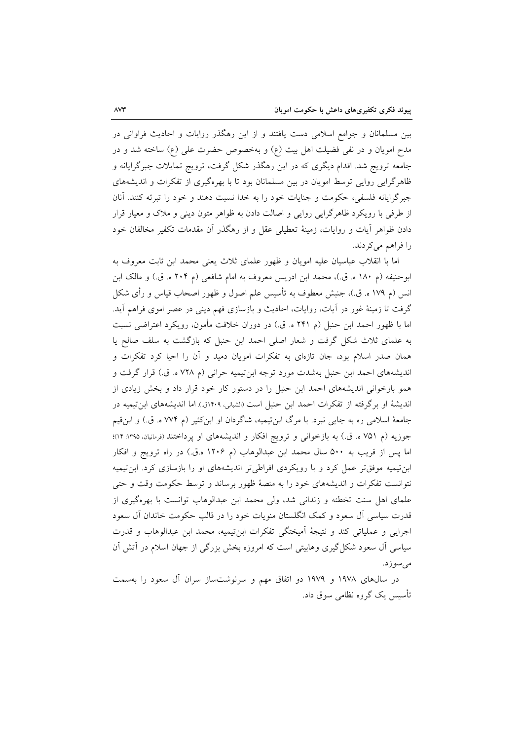بین مسلمانان و جوامع اسلامی دست یافتند و از این رهگذر روایات و احادیث فراوانی در مدح امويان و در نفي فضيلت اهل بيت (ع) و بهخصوص حضرت على (ع) ساخته شد و در جامعه ترویج شد. اقدام دیگری که در این رهگذر شکل گرفت، ترویج تمایلات جبرگرایانه و ظاهرگرایی روایی توسط امویان در بین مسلمانان بود تا با بهرهگیری از تفکرات و اندیشههای جبرگرایانه فلسفی، حکومت و جنایات خود را به خدا نسبت دهند و خود را تبرئه کنند. آنان از طرفی با رویکرد ظاهرگرایی روایی و اصالت دادن به ظواهر متون دینی و ملاک و معیار قرار دادن ظواهر آيات و روايات، زمينهٔ تعطيلي عقل و از رهگذر آن مقدمات تكفير مخالفان خود را فراهم می کردند.

اما با انقلاب عباسیان علیه امویان و ظهور علمای ثلاث یعنی محمد ابن ثابت معروف به ابوحنيفه (م ١٨٠ ه. ق.)، محمد ابن ادريس معروف به امام شافعي (م ٢٠۴ ه. ق.) و مالک ابن انس (م ۱۷۹ ه. ق.)، جنبش معطوف به تأسیس علم اصول و ظهور اصحاب قیاس و رأی شکل گرفت تا زمینهٔ غور در اّیات، روایات، احادیث و بازسازی فهم دینی در عصر اموی فراهم اَید. اما با ظهور احمد ابن حنبل (م ۲۴۱ ه. ق.) در دوران خلافت مأمون، رويكرد اعتراضي نسبت به علمای ثلاث شکل گرفت و شعار اصلی احمد ابن حنبل که بازگشت به سلف صالح یا همان صدر اسلام بود، جان تازهای به تفکرات امویان دمید و آن را احیا کرد تفکرات و انديشههاي احمد ابن حنبل بهشدت مورد توجه ابن تيميه حراني (م ٧٢٨ ه. ق.) قرار گرفت و همو بازخوانی اندیشههای احمد ابن حنبل را در دستور کار خود قرار داد و بخش زیادی از اندیشهٔ او برگرفته از تفکرات احمد ابن حنبل است (الشبانی، ۱۴۰۹ق.) اما اندیشههای ابنتیمیه در جامعهٔ اسلامی ره به جایی نبرد. با مرگ ابن تیمیه، شاگردان او ابن کثیر (م ۷۷۴ ه. ق.) و ابن قیم جوزیه (م ۷۵۱ ه. ق.) به بازخوانی و ترویج افکار و اندیشههای او پرداختند (فرمانیان ۱۳۹۵: ۱۴)؛ اما پس از قریب به ۵۰۰ سال محمد ابن عبدالوهاب (م ۱۲۰۶ ه.ق.) در راه ترویج و افکار ابن تیمیه موفق تر عمل کرد و با رویکردی افراطی تر اندیشههای او را بازسازی کرد. ابن تیمیه نتوانست تفکرات و اندیشههای خود را به منصهٔ ظهور برساند و توسط حکومت وقت و حتبی علمای اهل سنت تخطئه و زندانی شد، ولی محمد ابن عبدالوهاب توانست با بهرهگیری از قدرت سیاسی آل سعود و کمک انگلستان منویات خود را در قالب حکومت خاندان آل سعود اجرايي و عملياتي كند و نتيجهٔ آميختگي تفكرات ابن تيميه، محمد ابن عبدالوهاب و قدرت سیاسی آل سعود شکل گیری وهابیتی است که امروزه بخش بزرگی از جهان اسلام در آتش آن مى سوزد.

در سال@ای ۱۹۷۸ و ۱۹۷۹ دو اتفاق مهم و سرنوشتساز سران آل سعود را بهسمت تأسیس یک گروه نظامی سوق داد.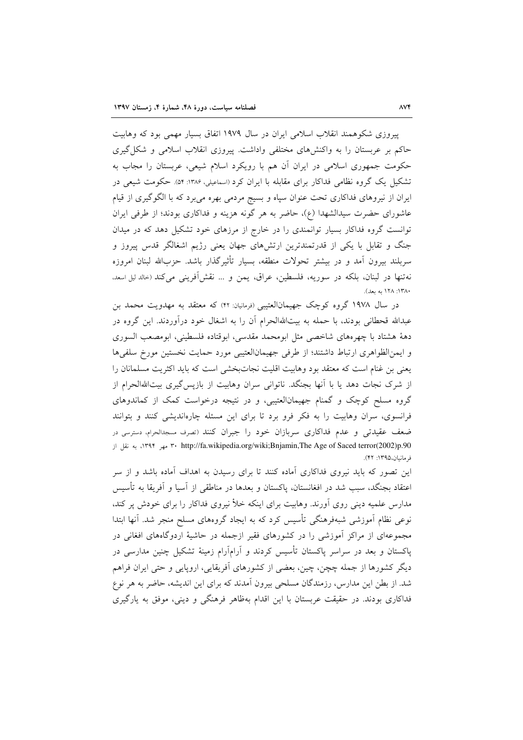پیروزی شکوهمند انقلاب اسلامی ایران در سال ۱۹۷۹ اتفاق بسیار مهمی بود که وهابیت حاکم بر عربستان را به واکنشهای مختلفی واداشت. پیروزی انقلاب اسلامی و شکل گیری حکومت جمهوری اسلامی در ایران آن هم با رویکرد اسلام شیعی، عربستان را مجاب به تشکیل یک گروه نظامی فداکار برای مقابله با ایران کرد (اسماعیلی، ۱۳۸۶: ۵۴). حکومت شیعی در ایران از نیروهای فداکاری تحت عنوان سپاه و بسیج مردمی بهره میبرد که با الگوگیری از قیام عاشورای حضرت سیدالشهدا (ع)، حاضر به هر گونه هزینه و فداکاری بودند؛ از طرفی ایران توانست گروه فداکار بسیار توانمندی را در خارج از مرزهای خود تشکیل دهد که در میدان جنگ و تقابل با یکی از قدرتمندترین ارتشهای جهان یعنی رژیم اشغالگر قدس پیروز و سربلند بیرون آمد و در بیشتر تحولات منطقه، بسیار تأثیرگذار باشد. حزبالله لبنان امروزه نه تنها در لبنان، بلكه در سوريه، فلسطين، عراق، يمن و … نقش أفريني مي كند (حالد ليل اسعد. ١٣٨٠: ١٢٨ به بعد).

در سال ۱۹۷۸ گروه کوچک جهیمانالعتیبی (فرمانیان: ۴۲) که معتقد به مهدویت محمد بن عبدالله قحطانی بودند، با حمله به بیتاللهالحرام آن را به اشغال خود درآوردند. این گروه در دههٔ هشتاد با چهرههای شاخصی مثل ابومحمد مقدسی، ابوقتاده فلسطینی، ابومصعب السوری و ايمن الظواهري ارتباط داشتند؛ از طرفي جهيمان العتيبي مورد حمايت نخستين مورخ سلفي ها يعني بن غنام است كه معتقد بود وهابيت اقليت نجاتبخشي است كه بايد اكثريت مسلمانان را از شرک نجات دهد یا با آنها بجنگد. ناتوانی سران وهابیت از بازپس گیری بیتاللهالحرام از گروه مسلح کوچک و گمنام جهیمانالعتیبی، و در نتیجه درخواست کمک از کماندوهای فرانسوی، سران وهابیت را به فکر فرو برد تا برای این مسئله چارهاندیشی کنند و بتوانند ضعف عقیدتی و عدم فداکاری سربازان خود را جبران کنند (تصرف مسجدالحرام، دسترسی در ۰۱۳۹۴ مهر ۱۳۹۴، http://fa.wikipedia.org/wiki;Bnjamin,The Age of Saced terror(2002)p.90 فرمانيان،١٣٩٥: ۴٢).

این تصور که باید نیروی فداکاری آماده کنند تا برای رسیدن به اهداف آماده باشد و از سر اعتقاد بجنگد، سبب شد در افغانستان، پاکستان و بعدها در مناطقی از آسیا و آفریقا به تأسیس مدارس علمیه دینی روی اَورند. وهابیت برای اینکه خلأ نیروی فداکار را برای خودش پر کند، نوعی نظام آموزشی شبهفرهنگی تأسیس کرد که به ایجاد گروههای مسلح منجر شد. آنها ابتدا مجموعهای از مراکز آموزشی را در کشورهای فقیر ازجمله در حاشیهٔ اردوگاههای افغانی در پاکستان و بعد در سراسر پاکستان تأسیس کردند و آرامآرام زمینهٔ تشکیل چنین مدارسی در دیگر کشورها از جمله چچن، چین، بعضی از کشورهای آفریقایی، اروپایی و حتی ایران فراهم شد. از بطن این مدارس، رزمندگان مسلحی بیرون آمدند که برای این اندیشه، حاضر به هر نوع فداکاری بودند. در حقیقت عربستان با این اقدام بهظاهر فرهنگی و دینی، موفق به یارگیری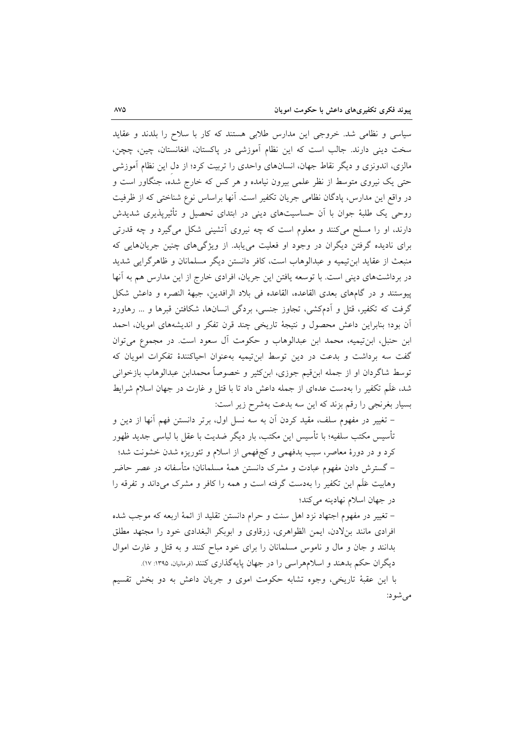سیاسی و نظامی شد. خروجی این مدارس طلابی هستند که کار با سلاح را بلدند و عقاید سخت دینی دارند. جالب است که این نظام آموزشی در پاکستان، افغانستان، چین، چچن، مالزی، اندونزی و دیگر نقاط جهان، انسانهای واحدی را تربیت کرد؛ از دل این نظام آموزشی حتی یک نیروی متوسط از نظر علمی بیرون نیامده و هر کس که خارج شده، جنگاور است و در واقع این مدارس، پادگان نظامی جریان تکفیر است. آنها براساس نوع شناختی که از ظرفیت روحی یک طلبهٔ جوان با اَن حساسیتهای دینی در ابتدای تحصیل و تأثیرپذیری شدیدش دارند، او را مسلح میکنند و معلوم است که چه نیروی آتشینی شکل میگیرد و چه قدرتی برای نادیده گرفتن دیگران در وجود او فعلیت می پابد. از ویژگیهای چنین جریانهایی که منبعث از عقاید ابن تیمیه و عبدالوهاب است، کافر دانستن دیگر مسلمانان و ظاهرگرایی شدید در برداشتهای دینی است. با توسعه یافتن این جریان، افرادی خارج از این مدارس هم به آنها ييوستند و در گامهاي بعدي القاعده، القاعده في بلاد الرافدين، جبههٔ النصره و داعش شكل گرفت که تکفیر، قتل و اَدمکشی، تجاوز جنسی، بردگی انسانها، شکافتن قبرها و … رهاورد آن بود؛ بنابراین داعش محصول و نتیجهٔ تاریخی چند قرن تفکر و اندیشههای امویان، احمد ابن حنبل، ابن تيميه، محمد ابن عبدالوهاب و حكومت أل سعود است. در مجموع مي توان گفت سه برداشت و بدعت در دین توسط ابن تیمیه بهعنوان احیاکنندهٔ تفکرات امویان که توسط شاگردان او از جمله ابنِ قیم جوزی، ابنِ کثیر و خصوصاً محمدابن عبدالوهاب بازخوانی شد، عَلَم تكفير را بهدست عدهاى از جمله داعش داد تا با قتل و غارت در جهان اسلام شرايط بسیار بغرنجی را رقم بزند که این سه بدعت بهشرح زیر است:

– تغییر در مفهوم سلف، مقید کردن آن به سه نسل اول، برتر دانستن فهم آنها از دین و تأسیس مکتب سلفیه؛ با تأسیس این مکتب، بار دیگر ضدیت با عقل با لباسی جدید ظهور کرد و در دورهٔ معاصر، سبب بدفهمی و کجفهمی از اسلام و تئوریزه شدن خشونت شد؛ – گسترش دادن مفهوم عبادت و مشرک دانستن همهٔ مسلمانان؛ متأسفانه در عصر حاضر وهابیت عَلَم این تکفیر را بهدست گرفته است و همه را کافر و مشرک میداند و تفرقه را در جهان اسلام نهادينه مي كند؛

– تغییر در مفهوم اجتهاد نزد اهل سنت و حرام دانستن تقلید از ائمهٔ اربعه که موجب شده افرادی مانند بنلادن، ایمن الظواهری، زرقاوی و ابوبکر البغدادی خود را مجتهد مطلق بدانند و جان و مال و ناموس مسلمانان را برای خود مباح کنند و به قتل و غارت اموال دیگران حکم بدهند و اسلامهراسی را در جهان پایهگذاری کنند (فرمانیان، ۱۳۹۵: ۱۷).

با این عقبهٔ تاریخی، وجوه تشابه حکومت اموی و جریان داعش به دو بخش تقسیم می شو د: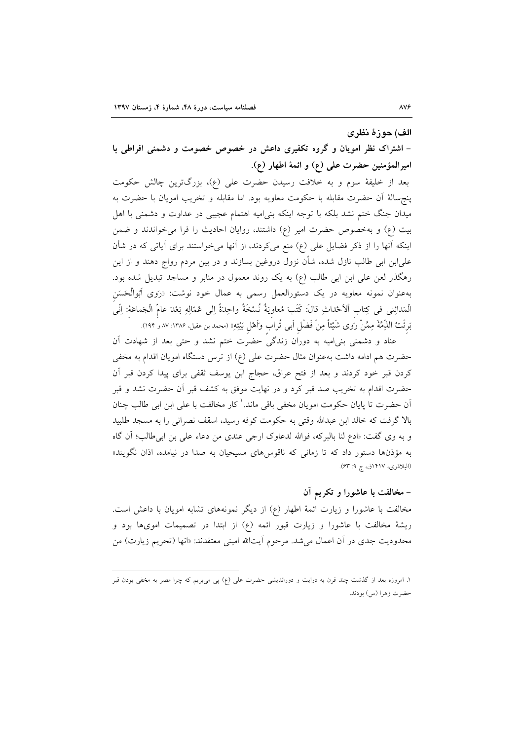### الف) حوزهٔ نظری

– اشتراک نظر امویان و گروه تکفیری داعش در خصوص خصومت و دشمنی افراطی با اميرالمؤمنين حضرت على (ع) و ائمهٔ اطهار (ع).

بعد از خلیفهٔ سوم و به خلافت رسیدن حضرت علی (ع)، بزرگترین چالش حکومت ينجسالة أن حضرت مقابله با حكومت معاويه بود. اما مقابله و تخريب امويان با حضرت به میدان جنگ ختم نشد بلکه با توجه اینکه بنیامیه اهتمام عجیبی در عداوت و دشمنی با اهل بیت (ع) و بهخصوص حضرت امیر (ع) داشتند، روایان احادیث را فرا میخواندند و ضمن اینکه آنها را از ذکر فضایل علی (ع) منع میکردند، از آنها میخواستند برای آیاتی که در شأن علیابن ابی طالب نازل شده، شأن نزول دروغین بسازند و در بین مردم رواج دهند و از این رهگذر لعن علی ابن ابی طالب (ع) به یک روند معمول در منابر و مساجد تبدیل شده بود. بهعنوان نمونه معاویه در یک دستورالعمل رسمی به عمال خود نوشت: «رَوی اَبُوالْحَسَن الْمَدائِني في كِتاب ٱلأحْداثِ قالَ: كَتَبَ مُعاويَهُ نُسْخَةً واحِدَةً إلى عُمّالِهِ بَعْدَ عامّ الْجَماعَة: إنّي بَرئْتُ اللَّهِمَّةَ مِمَّنْ رَوى شَيْئاً مِنْ فَضْلٍ اَبِى تُراب وَاَهْلِ بَيْتِهِ» (محمد بن عقيل، ١٣٨۶: ٨٧ و ١٩٢).

عناد و دشمنی بنی|میه به دوران زندگی حضرت ختم نشد و حتی بعد از شهادت آن حضرت هم ادامه داشت بهعنوان مثال حضرت على (ع) از ترس دستگاه امويان اقدام به مخفى کردن قبر خود کردند و بعد از فتح عراق، حجاج ابن یوسف ثقفی برای پیدا کردن قبر آن حضرت اقدام به تخریب صد قبر کرد و در نهایت موفق به کشف قبر آن حضرت نشد و قبر اّن حضرت تا پایان حکومت امویان مخفی باقی ماند.<sup>\</sup> کار مخالفت با عل<sub>ی</sub> ابن ابی طالب چنان بالا گرفت که خالد ابن عبدالله وقتی به حکومت کوفه رسید، اسقف نصرانی را به مسجد طلبید و به وي گفت: «ادع لنا بالبركه، فوالله لدعاوك ارجى عندى من دعاء على بن ابى طالب؛ أن گاه به مؤذنها دستور داد که تا زمانی که ناقوس های مسیحیان به صدا در نیامده، اذان نگویند» (البلاذري، ١۴١٧ق، ج ٩: ۶۳).

## – مخالفت با عاشورا و تکریم آن

مخالفت با عاشورا و زیارت ائمهٔ اطهار (ع) از دیگر نمونههای تشابه امویان با داعش است. ریشهٔ مخالفت با عاشورا و زیارت قبور ائمه (ع) از ابتدا در تصمیمات امویها بود و محدودیت جدی در أن اعمال میشد. مرحوم أیتالله امینی معتقدند: «انها (تحریم زیارت) من

۱. امروزه بعد از گذشت چند قرن به درایت و دوراندیشی حضرت علی (ع) پی می,بریم که چرا مصر به مخفی بودن قبر حضرت زهرا (س) بودند.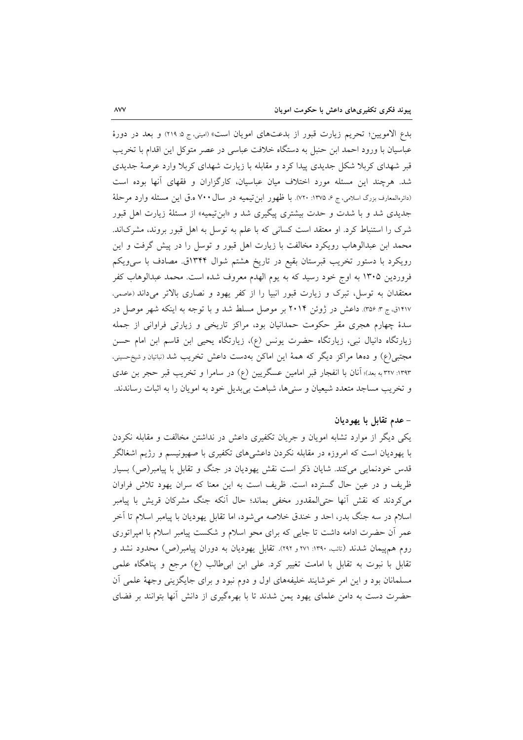بدع الامويين؛ تحريم زيارت قبور از بدعتهاى امويان است» (اميني، ج ۵ ٢١٩) و بعد در دورهٔ عباسیان با ورود احمد ابن حنبل به دستگاه خلافت عباسی در عصر متوکل این اقدام با تخریب قبر شهدای کربلا شکل جدیدی پیدا کرد و مقابله با زیارت شهدای کربلا وارد عرصهٔ جدیدی شد. هرچند این مسئله مورد اختلاف میان عباسیان، کارگزاران و فقهای آنها بوده است (دائرهالمعارف بزرگ اسلامی، ج ۶، ۱۳۷۵: ۷۲۰). با ظهور ابن تیمیه در سال ۷۰۰ ه.ق این مسئله وارد مرحلهٔ جدیدی شد و با شدت و حدت بیشتری پیگیری شد و «ابن تیمیه» از مسئلهٔ زیارت اهل قبور شرک را استنباط کرد. او معتقد است کسانی که با علم به توسل به اهل قبور بروند، مشرکاند. محمد ابن عبدالوهاب رویکرد مخالفت با زیارت اهل قبور و توسل را در پیش گرفت و این رویکرد با دستور تخریب قبرستان بقیع در تاریخ هشتم شوال ۱۳۴۴ق. مصادف با سی ویکم فروردین ۱۳۰۵ به اوج خود رسید که به یوم الهدم معروف شده است. محمد عبدالوهاب کفر معتقدان به توسل، تبرک و زیارت قبور انبیا را از کفر یهود و نصاری بالاتر میداند (عاصمی، ۱۴۱۷ق، ج ۳: ۳۵۶). داعش در ژوئن ۲۰۱۴ بر موصل مسلط شد و با توجه به اینکه شهر موصل در سدهٔ چهارم هجری مقر حکومت حمدانیان بود، مراکز تاریخی و زیارتی فراوانی از جمله زیارتگاه دانیال نبی، زیارتگاه حضرت یونس (ع)، زیارتگاه یحیی ابن قاسم ابن امام حسن مجتبی(ع) و دهها مراکز دیگر که همهٔ این اماکن بهدست داعش تخریب شد (نباتیان و شیخ حسینی، ۱۳۹۳: ۳۲۷ به بعد)؛ آنان با انفجار قبر امامین عسگریین (ع) در سامرا و تخریب قبر حجر بن عدی و تخریب مساجد متعدد شیعیان و سنیها، شباهت بیبدیل خود به امویان را به اثبات رساندند.

# – عدم تقابل با يهوديان

یکی دیگر از موارد تشابه امویان و جریان تکفیری داعش در نداشتن مخالفت و مقابله نکردن با یهودیان است که امروزه در مقابله نکردن داعشیهای تکفیری با صهیونیسم و رژیم اشغالگر قدس خودنمایی میکند. شایان ذکر است نقش یهودیان در جنگ و تقابل با پیامبر(ص) بسیار ظریف و در عین حال گسترده است. ظریف است به این معنا که سران یهود تلاش فراوان می کردند که نقش اّنها حتی|لمقدور مخفی بماند؛ حال اّنکه جنگ مشرکان قریش با پیامبر اسلام در سه جنگ بدر، احد و خندق خلاصه می شود، اما تقابل یهودیان با پیامبر اسلام تا آخر عمر أن حضرت ادامه داشت تا جایبی که برای محو اسلام و شکست پیامبر اسلام با امیراتوری روم همهیمان شدند (تائب، ۱۳۹۰: ۲۷۱ و ۲۹۲). تقابل یهودیان به دوران پیامبر(ص) محدود نشد و تقابل با نبوت به تقابل با امامت تغییر کرد. علی ابن ابی طالب (ع) مرجع و پناهگاه علمی مسلمانان بود و این امر خوشایند خلیفههای اول و دوم نبود و برای جایگزینی وجههٔ علمی آن حضرت دست به دامن علمای یهود یمن شدند تا با بهرهگیری از دانش آنها بتوانند بر فضای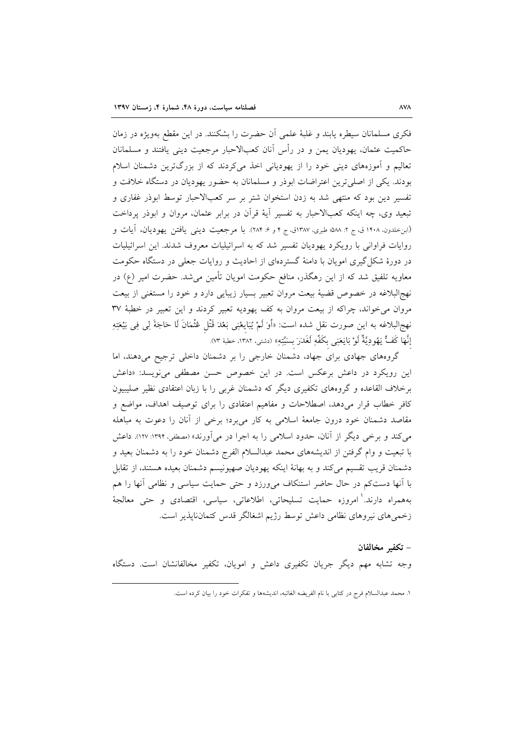فکری مسلمانان سیطره یابند و غلبهٔ علمی آن حضرت را بشکنند. در این مقطع بهویژه در زمان حاكميت عثمان، يهوديان يمن و در رأس آنان كعبالاحبار مرجعيت ديني يافتند و مسلمانان تعالیم و آموزههای دینی خود را از یهودیانی اخذ میکردند که از بزرگترین دشمنان اسلام بودند. یکی از اصلی ترین اعتراضات ابوذر و مسلمانان به حضور یهودیان در دستگاه خلافت و تفسیر دین بود که منتهی شد به زدن استخوان شتر بر سر کعبالاحبار توسط ابوذر غفاری و تبعید وی، چه اینکه کعبالاحبار به تفسیر آیهٔ قرآن در برابر عثمان، مروان و ابوذر پرداخت (ابنخلدون، ۱۴۰۸ ق، ج ۲: ۵۸۸؛ طبری، ۱۳۸۷ق، ج ۴ و ۶: ۲۸۴). با مرجعیت دینی یافتن یهودیان، آیات و روايات فراواني با رويكرد يهوديان تفسير شد كه به اسرائيليات معروف شدند. اين اسرائيليات در دورهٔ شکل گیری امویان با دامنهٔ گستردهای از احادیث و روایات جعلی در دستگاه حکومت معاویه تلفیق شد که از این رهگذر، منافع حکومت امویان تأمین میشد. حضرت امیر (ع) در نهجالبلاغه در خصوص قضیهٔ بیعت مروان تعبیر بسیار زیبایی دارد و خود را مستغنی از بیعت مروان می خواند، چراکه از بیعت مروان به کف یهودیه تعبیر کردند و این تعبیر در خطبهٔ ۳۷ نهج|لبلاغه به اين صورت نقل شده است: «أَوَ لَمْ يُبَايِعْنِي بَعْدَ قَتْلٍ عُثْمَانَ لَا حَاجَةَ لِي فِي بَيْعَتِهِ إِنَّهَا كَفٌّ يَهُودِيَّةٌ لَوْ بَايَعَنِي بِكَفِّهِ لَغَدَرَ بِسَبِّتِهِ» (دشتي، ١٣٨٢، خطبهٔ ٧٣).

گروههای جهادی برای جهاد، دشمنان خارجی را بر دشمنان داخلی ترجیح میدهند، اما این رویکرد در داعش برعکس است. در این خصوص حسن مصطفی می نویسد: «داعش برخلاف القاعده و گروههای تکفیری دیگر که دشمنان غربی را با زبان اعتقادی نظیر صلیبیون کافر خطاب قرار میدهد، اصطلاحات و مفاهیم اعتقادی را برای توصیف اهداف، مواضع و مقاصد دشمنان خود درون جامعهٔ اسلامی به کار میبرد؛ برخی از آنان را دعوت به مباهله می کند و برخی دیگر از آنان، حدود اسلامی را به اجرا در می[ورند» (مصطفی، ۱۳۹۴: ۱۲۷). داعش با تبعیت و وام گرفتن از اندیشههای محمد عبدالسلام الفرج دشمنان خود را به دشمنان بعید و دشمنان قريب تقسيم ميكند و به بهانهٔ اينكه يهوديان صهيونيسم دشمنان بعيده هستند، از تقابل با آنها دستکم در حال حاضر استنکاف میورزد و حتی حمایت سیاسی و نظامی آنها را هم بههمراه دارند.' امروزه حمایت تسلیحاتی، اطلاعاتی، سیاسی، اقتصادی و حتی معالجهٔ زخمی های نیروهای نظامی داعش توسط رژیم اشغالگر قدس کتماننایذیر است.

#### – تكفير مخالفان

وجه تشابه مهم دیگر جریان تکفیری داعش و امویان، تکفیر مخالفانشان است. دستگاه

١. محمد عبدالسلام فرج در كتابي با نام الفريضه الغائبه، انديشهها و تفكرات خود را بيان كرده است.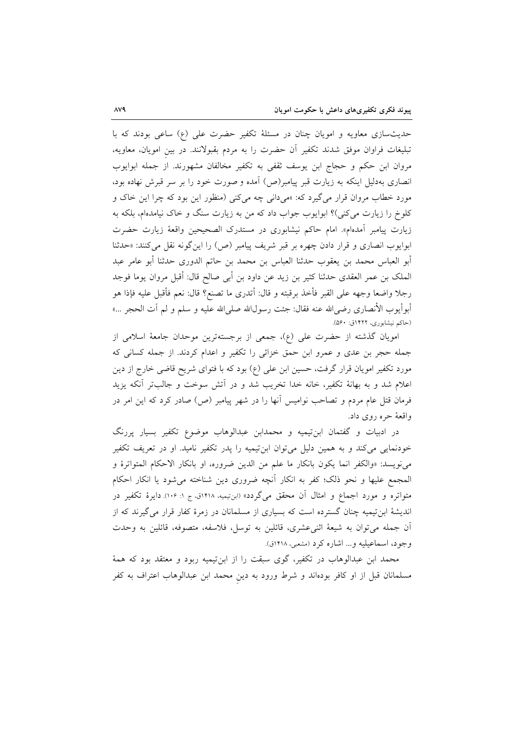حدیثسازی معاویه و امویان چنان در مسئلهٔ تکفیر حضرت علی (ع) ساعی بودند که با تبلیغات فراوان موفق شدند تکفیر أن حضرت را به مردم بقبولانند. در بین امویان، معاویه، مروان ابن حکم و حجاج ابن یوسف ثقفی به تکفیر مخالفان مشهورند. از جمله ابوایوب انصاری بهدلیل اینکه به زیارت قبر پیامبر(ص) آمده و صورت خود را بر سر قبرش نهاده بود، مورد خطاب مروان قرار می گیرد که: »میدانی چه میکنی (منظور این بود که چرا این خاک و کلوخ را زیارت می کنی)؟ ابوایوب جواب داد که من به زیارت سنگ و خاک نیامدهام، بلکه به زيارت پيامبر آمدهام». امام حاكم نيشابوري در مستدرك الصحيحين واقعهٔ زيارت حضرت ابوايوب انصاري و قرار دادن چهره بر قبر شريف پيامبر (ص) را اين گونه نقل مي كنند: «حدثنا أبو العباس محمد بن يعقوب حدثنا العباس بن محمد بن حاتم الدوري حدثنا أبو عامر عبد الملك بن عمر العقدي حدثنا كثير بن زيد عن داود بن أبي صالح قال: أقبل مروان يوما فوجد رجلا واضعا وجهه على القبر فأخذ برقبته و قال: أتدرى ما تصنع؟ قال: نعم فأقبل عليه فإذا هو أبوأيوب الأنصارى رضي@لله عنه فقال: جئت رسولالله صلىالله عليه و سلم و لم أت الحجر …» (حاکم نیشابوری، ۱۴۲۲ق: ۵۶۰).

امویان گذشته از حضرت علی (ع)، جمعی از برجستهترین موحدان جامعهٔ اسلامی از جمله حجر بن عدی و عمرو ابن حمق خزائی را تکفیر و اعدام کردند. از جمله کسانی که مورد تکفیر امویان قرار گرفت، حسین ابن علی (ع) بود که با فتوای شریح قاضی خارج از دین اعلام شد و به بهانهٔ تکفیر، خانه خدا تخریب شد و در اَتش سوخت و جالبتر اَنکه یزید فرمان قتل عام مردم و تصاحب نوامیس آنها را در شهر پیامبر (ص) صادر کرد که این امر در واقعهٔ حره روی داد.

در ادبیات و گفتمان ابن $بیمیه و محمدابن عبدالوهاب موضوع تکفیر بسیار پررنگ$ خودنمایی میکند و به همین دلیل میتوان ابنتیمیه را پدر تکفیر نامید. او در تعریف تکفیر ميiويسد: «والكفر انما يكون بانكار ما علم من الدين ضروره، او بانكار الاحكام المتواترة و المجمع عليها و نحو ذلك؛ كفر به انكار أنچه ضرورى دين شناخته مى شود يا انكار احكام متواتره و مورد اجماع و امثال آن محقق میگردد» (ابنتیمیه، ۱۴۱۸ق، ج ۱: ۱۰۶). دایرهٔ تکفیر در اندیشهٔ ابنتیمیه چنان گسترده است که بسیاری از مسلمانان در زمرهٔ کفار قرار میگیرند که از آن جمله مي توان به شيعهٔ اثني عشري، قائلين به توسل، فلاسفه، متصوفه، قائلين به وحدت وجود، اسماعیلیه و... اشاره کرد (مشعبی، ۱۴۱۸ق).

محمد ابن عبدالوهاب در تکفیر، گوی سبقت را از ابنتیمیه ربود و معتقد بود که همهٔ مسلمانان قبل از او کافر بودهاند و شرط ورود به دین محمد ابن عبدالوهاب اعتراف به کفر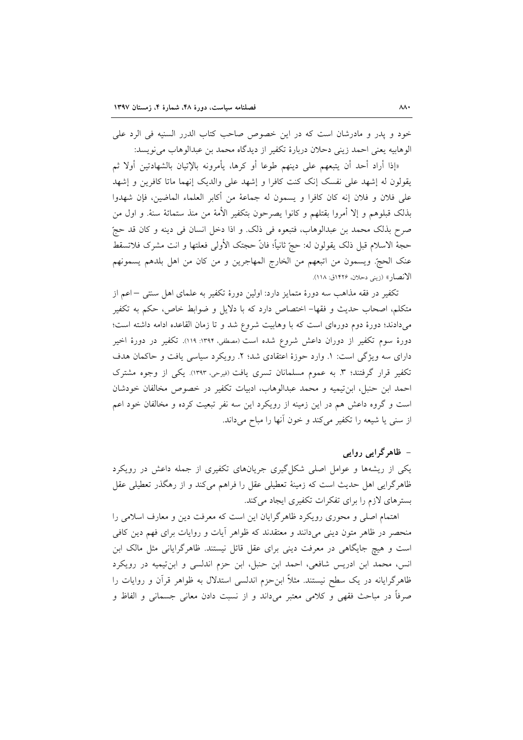خود و پدر و مادرشان است که در این خصوص صاحب کتاب الدرر السنیه فی الرد علی الوهابيه يعني احمد زيني دحلان دربارة تكفير از ديدگاه محمد بن عبدالوهاب مي نويسد:

«إذا أراد أحد أن يتبعهم على دينهم طوعا أو كرها، يأمرونه بالإتيان بالشهادتين أولا ثم يقولون له إشهد على نفسك إنك كنت كافرا و إشهد على والديك إنهما ماتا كافرين و إشهد على فلان و فلان إنه كان كافرا و يسمون له جماعهٔ من أكابر العلماء الماضين، فإن شهدوا بذلك قبلوهم و إلا أمروا بقتلهم و كانوا يصرحون بتكفير الأمهٔ من منذ ستمائهٔ سنهٔ. و اول من صرح بذلك محمد بن عبدالوهاب، فتبعوه في ذلك. و اذا دخل انسان في دينه و كان قد حجّ حجهٔ الاسلام قبل ذلک يقولون له: حجّ ثانياً؛ فانّ حجتک الأولى فعلتها و انت مشرک فلاتسقط عنك الحجّ. ويسمون من اتبعهم من الخارج المهاجرين و من كان من اهل بلدهم يسمونهم الانصار» (زيني دحلان، ١٤٢۶ق: ١١٨).

تكفير در فقه مذاهب سه دورهٔ متمايز دارد: اولين دورهٔ تكفير به علماي اهل سنتي –اعم از متكلم، اصحاب حديث و فقها– اختصاص دارد كه با دلايل و ضوابط خاص، حكم به تكفير میدادند؛ دورهٔ دوم دورهای است که با وهابیت شروع شد و تا زمان القاعده ادامه داشته است؛ دورهٔ سوم تکفیر از دوران داعش شروع شده است (مصطفی، ۱۳۹۴: ۱۱۹). تکفیر در دورهٔ اخیر دارای سه ویژگی است: ١. وارد حوزهٔ اعتقادی شد؛ ٢. رویکرد سیاسی یافت و حاکمان هدف تکفیر قرار گرفتند؛ ۳. به عموم مسلمانان تسری یافت (فیرحی، ۱۳۹۳). یکی از وجوه مشترک احمد ابن حنبل، ابن تيميه و محمد عبدالوهاب، ادبيات تكفير در خصوص مخالفان خودشان است و گروه داعش هم در این زمینه از رویکرد این سه نفر تبعیت کرده و مخالفان خود اعم از سنی یا شیعه را تکفیر می کند و خون آنها را مباح میداند.

# – ظاهرگرایی روایی

یکی از ریشهها و عوامل اصلی شکل گیری جریانهای تکفیری از جمله داعش در رویکرد ظاهر گرایی اهل حدیث است که زمینهٔ تعطیلی عقل را فراهم می کند و از رهگذر تعطیلی عقل بسترهای لازم را برای تفکرات تکفیری ایجاد میکند.

اهتمام اصلی و محوری رویکرد ظاهرگرایان این است که معرفت دین و معارف اسلامی را منحصر در ظاهر متون دینی میدانند و معتقدند که ظواهر أیات و روایات برای فهم دین کافی است و هیچ جایگاهی در معرفت دینی برای عقل قائل نیستند. ظاهرگرایانی مثل مالک ابن انس، محمد ابن ادریس شافعی، احمد ابن حنبل، ابن حزم اندلسی و ابن تیمیه در رویکرد ظاهرگرایانه در یک سطح نیستند. مثلاً ابنِ حزم اندلسی استدلال به ظواهر قرآن و روایات را صرفاً در مباحث فقهي و كلامي معتبر ميداند و از نسبت دادن معاني جسماني و الفاظ و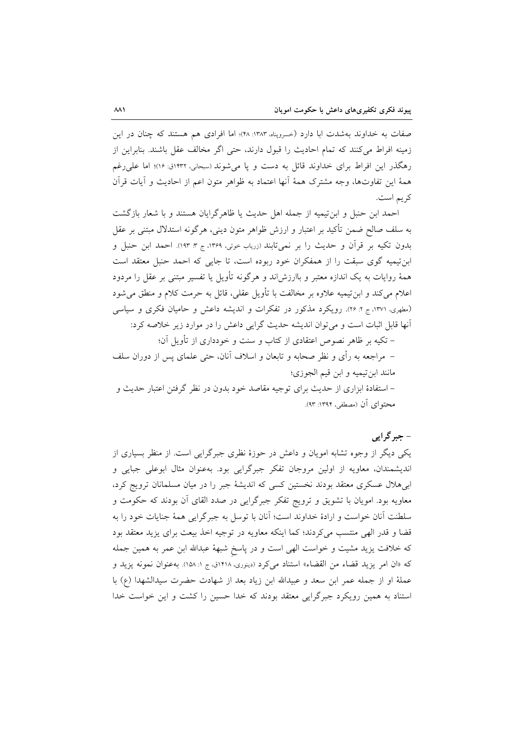صفات به خداوند بهشدت ابا دارد (حسروپناه ١٣٨٣: ۴٨)؛ اما افرادي هم هستند كه چنان در اين زمینه افراط می کنند که تمام احادیث را قبول دارند، حتی اگر مخالف عقل باشند. بنابراین از رهگذر این افراط برای خداوند قائل به دست و یا می شوند (سبحانی، ۱۴۳۲ق: ۱۶)؛ اما علی رغم همهٔ این تفاوتها، وجه مشترک همهٔ آنها اعتماد به ظواهر متون اعم از احادیث و آیات قرآن كريم است.

احمد ابن حنبل و ابن تیمیه از جمله اهل حدیث یا ظاهرگرایان هستند و با شعار بازگشت به سلف صالح ضمن تأكيد بر اعتبار و ارزش ظواهر متون ديني، هرگونه استدلال مبتني بر عقل بدون تكيه بر قرآن و حديث را بر نمي تابند (زرياب خوئي، ١٣۶٩، ج ٣: ١٩٣). احمد ابن حنبل و ابن تیمیه گوی سبقت را از همفکران خود ربوده است، تا جایبی که احمد حنبل معتقد است همهٔ روایات به یک اندازه معتبر و باارزش!ند و هرگونه تأویل یا تفسیر مبتنی بر عقل را مردود اعلام مي كند و ابن تيميه علاوه بر مخالفت با تأويل عقلي، قائل به حرمت كلام و منطق مي شود (مطهری، ١٣٧١، ج ٢: ٢٤). رويكرد مذكور در تفكرات و انديشه داعش و حاميان فكرى و سياسي آنها قابل اثبات است و می توان اندیشه حدیث گرایی داعش را در موارد زیر خلاصه کرد:

– تکیه بر ظاهر نصوص اعتقادی از کتاب و سنت و خودداری از تأویل آن؛ – مراجعه به رأى و نظر صحابه و تابعان و اسلاف آنان، حتى علماى پس از دوران سلف مانند ابن تيميه و ابن قيم الجوزي؛ – استفادهٔ ابزاری از حدیث برای توجیه مقاصد خود بدون در نظر گرفتن اعتبار حدیث و محتواي آن (مصطفى، ١٣٩٢: ٩٣).

# - جبر گرایی

یکی دیگر از وجوه تشابه امویان و داعش در حوزهٔ نظری جبرگرایی است. از منظر بسیاری از اندیشمندان، معاویه از اولین مروجان تفکر جبرگرایی بود. بهعنوان مثال ابوعلی جبایی و ابی هلال عسکری معتقد بودند نخستین کسی که اندیشهٔ جبر را در میان مسلمانان ترویج کرد، معاویه بود. امویان با تشویق و ترویج تفکر جبرگرایی در صدد القای آن بودند که حکومت و سلطنت آنان خواست و ارادهٔ خداوند است؛ آنان با توسل به جبرگرایی همهٔ جنایات خود را به قضا و قدر الهی منتسب میکردند؛ کما اینکه معاویه در توجیه اخذ بیعت برای یزید معتقد بود که خلافت یزید مشیت و خواست الهی است و در پاسخ شبههٔ عبدالله ابن عمر به همین جمله كه «ان امر يزيد قضاء من القضاء» استناد مي كرد (دينوري، ١٤١٨ق، ج ١: ١٥٨). به عنوان نمونه يزيد و عملهٔ او از جمله عمر ابن سعد و عبیدالله ابن زیاد بعد از شهادت حضرت سیدالشهدا (ع) با استناد به همین رویکرد جبرگرایی معتقد بودند که خدا حسین را کشت و این خواست خدا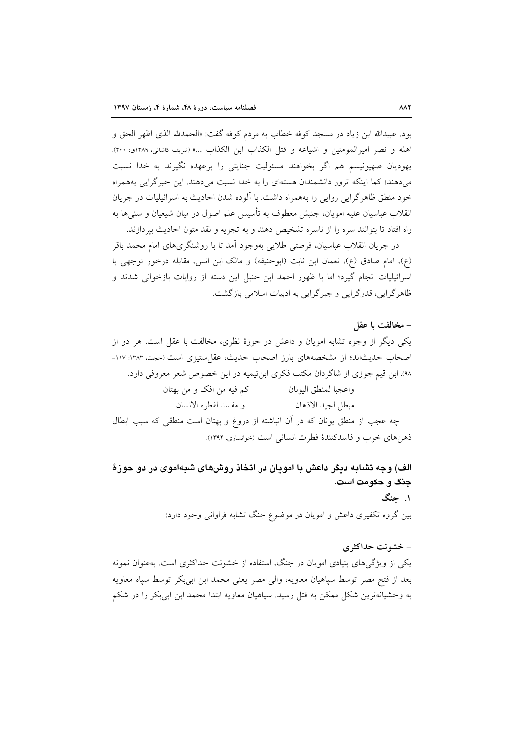بود. عبيدالله ابن زياد در مسجد كوفه خطاب به مردم كوفه گفت: «الحمدلله الذي اظهر الحق و اهله و نصر اميرالمومنين و اشباعه و قتل الكذاب اين الكذاب …» (شريف كاشاني، ١٣٨٩ق: ٤٠٠). یهودیان صهیونیسم هم اگر بخواهند مسئولیت جنایتی را برعهده نگیرند به خدا نسبت می دهند؛ کما اینکه ترور دانشمندان هستهای را به خدا نسبت می دهند. این جبرگرایی بههمراه خود منطق ظاهر گرایی روایی را بههمراه داشت. با آلوده شدن احادیث به اسرائیلیات در جریان انقلاب عباسیان علیه امویان، جنبش معطوف به تأسیس علم اصول در میان شیعیان و سنیها به راه افتاد تا بتوانند سره را از ناسره تشخیص دهند و به تجزیه و نقد متون احادیث بیردازند.

در جریان انقلاب عباسیان، فرصتی طلایی بهوجود آمد تا با روشنگریهای امام محمد باقر (ع)، امام صادق (ع)، نعمان ابن ثابت (ابوحنيفه) و مالک ابن انس، مقابله درخور توجهي با اسرائیلیات انجام گیرد؛ اما با ظهور احمد ابن حنبل این دسته از روایات بازخوانی شدند و ظاهر گرایی، قدرگرایی و جبرگرایی به ادبیات اسلامی بازگشت.

# – مخالفت يا عقل

یکی دیگر از وجوه تشابه امویان و داعش در حوزهٔ نظری، مخالفت با عقل است. هر دو از اصحاب حديثاند؛ از مشخصههاى بارز اصحاب حديث، عقل ستيزى است (حجت، ١٦٨٣: ١١٧-۹۸). ابن قیم جوزی از شاگردان مکتب فکری ابن تیمیه در این خصوص شعر معروفی دارد. واعجبا لمنطق اليونان مصطلح كم فيه من افك و من بهتان و مفسد لفطره الانسان مبطل لجيد الاذهان چه عجب از منطق یونان که در آن انباشته از دروغ و بهتان است منطقی که سبب ابطال ذهنهاي خوب و فاسدكنندهٔ فطرت انساني است (خوانساري، ١٣٩٢).

الف) وجه تشابه دیگر داعش با امویان در اتخاذ روشهای شبهاموی در دو حوزهٔ جنگ و حکومت است. ۱. حنگ

بین گروه تکفیری داعش و امویان در موضوع جنگ تشابه فراوانی وجود دارد:

## - خشونت حداکثری

یکی از ویژگی های بنیادی امویان در جنگ، استفاده از خشونت حداکثری است. بهعنوان نمونه بعد از فتح مصر توسط سپاهیان معاویه، والی مصر یعنی محمد ابن ابیبکر توسط سپاه معاویه به وحشیانهترین شکل ممکن به قتل رسید. سیاهیان معاویه ابتدا محمد ابن ابیبکر را در شکم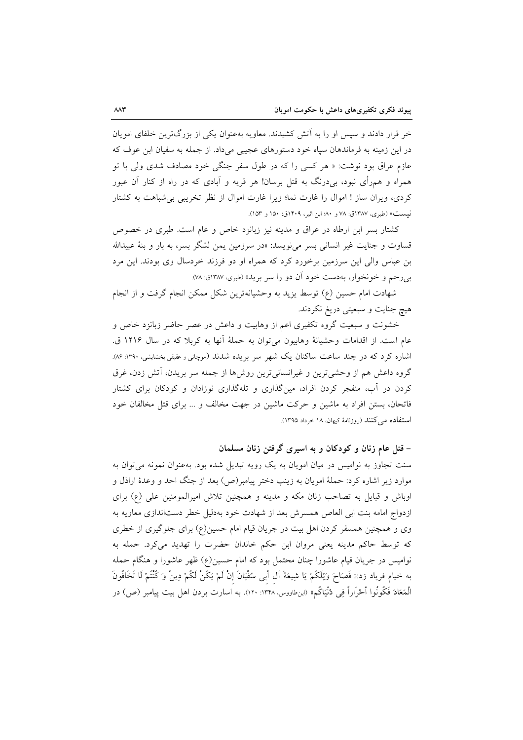خر قرار دادند و سپس او را به اَتش کشیدند. معاویه بهعنوان یکی از بزرگترین خلفای امویان در این زمینه به فرماندهان سیاه خود دستورهای عجیبی می داد. از جمله به سفیان این عوف که عازم عراق بود نوشت: « هر کسی را که در طول سفر جنگی خود مصادف شدی ولی با تو همراه و همرأي نبود، بي درنگ به قتل برسان! هر قريه و آبادي كه در راه از كنار آن عبور کردی، ویران ساز ! اموال را غارت نما؛ زیرا غارت اموال از نظر تخریبی بی شباهت به کشتار نيست» (طبري، ١٣٨٧ق: ٧٨ و ٨٠؛ ابن اثير، ١۴٠٩ق: ١۵٠ و ١۵٣).

کشتار بسر ابن ارطاه در عراق و مدینه نیز زبانزد خاص و عام است. طبری در خصوص قساوت و جنایت غیر انسانی بسر می نویسد: «در سرزمین یمن لشگر بسر، به بار و بنهٔ عبیدالله بن عباس والی این سرزمین برخورد کرد که همراه او دو فرزند خردسال وی بودند. این مرد بي رحم و خونخوار، بهدست خود آن دو را سر بريد» (طبري، ١٣٨٧ق: ٧٨).

شهادت امام حسین (ع) توسط یزید به وحشیانهترین شکل ممکن انجام گرفت و از انجام هيچ جنايت و سبعيتي دريغ نكردند.

خشونت و سبعیت گروه تکفیری اعم از وهابیت و داعش در عصر حاضر زبانزد خاص و عام است. از اقدامات وحشیانهٔ وهابیون میٍ توان به حملهٔ اَنها به کربلا که در سال ۱۲۱۶ ق. اشاره کرد که در چند ساعت ساکنان یک شهر سر بریده شدند (موچانی و عقیقی بخشایشی، ۱۳۹۰: ۸۶). گروه داعش هم از وحشیترین و غیرانسانیترین روش۵ا از جمله سر بریدن، آتش زدن، غرق کردن در آب، منفجر کردن افراد، مینگذاری و تلهگذاری نوزادان و کودکان برای کشتار فاتحان، بستن افراد به ماشین و حرکت ماشین در جهت مخالف و … برای قتل مخالفان خود استفاده می کنند (روزنامهٔ کیهان، ۱۸ خرداد ۱۳۹۵).

– قتل عام زنان و کودکان و به اسیری گرفتن زنان مسلمان

سنت تجاوز به نوامیس در میان امویان به یک رویه تبدیل شده بود. بهعنوان نمونه می توان به موارد زير اشاره كرد: حملهٔ امويان به زينب دختر پيامبر(ص) بعد از جنگ احد و وعدهٔ اراذل و اوباش و قبایل به تصاحب زنان مکه و مدینه و همچنین تلاش امیرالمومنین علی (ع) برای ازدواج امامه بنت ابی العاص همسرش بعد از شهادت خود بهدلیل خطر دستاندازی معاویه به وی و همچنین همسفر کردن اهل بیت در جریان قیام امام حسین(ع) برای جلوگیری از خطری که توسط حاکم مدینه یعنی مروان ابن حکم خاندان حضرت را تهدید می کرد. حمله به نوامیس در جریان قیام عاشورا چنان محتمل بود که امام حسین(ع) ظهر عاشورا و هنگام حمله به خيام فرياد زد:« فَصَاحَ وَيْلَكُمْ يَا شِيعَةَ آل أَبِي سُفْيَانَ إِنْ لَمْ يَكُنْ لَكُمْ دِينٌ وَ كُنْتُمْ لَا تَخَافُونَ الْمَعَادَ فَكُونُوا ٱحْرَاراً فِي دُنْيَاكُم» (ابنِطاووس، ١٣٢٨: ١٢٠). به اسارت بردن اهل بيت ييامبر (ص) در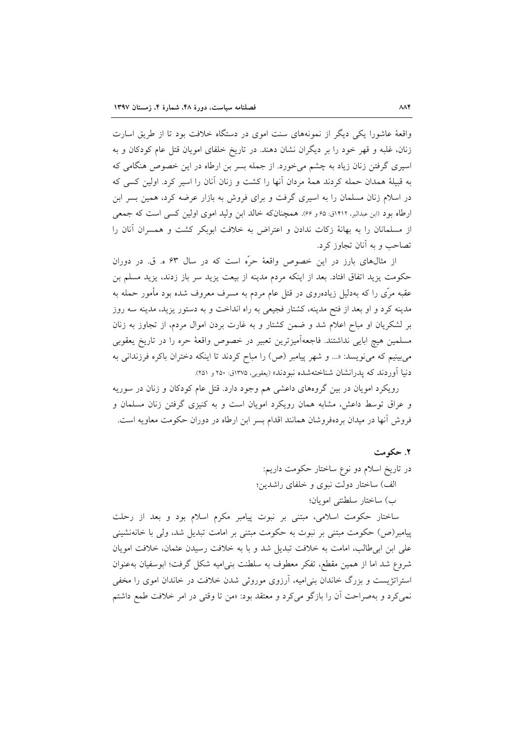واقعهٔ عاشورا یکی دیگر از نمونههای سنت اموی در دستگاه خلافت بود تا از طریق اسارت زنان، غلبه و قهر خود را بر دیگران نشان دهند. در تاریخ خلفای امویان قتل عام کودکان و به اسیری گرفتن زنان زیاد به چشم میخورد. از جمله بسر بن ارطاه در این خصوص هنگامی که به قبیلهٔ همدان حمله کردند همهٔ مردان آنها را کشت و زنان آنان را اسیر کرد. اولین کسی که در اسلام زنان مسلمان را به اسیری گرفت و برای فروش به بازار عرضه کرد، همین بسر ابن ارطاه بود (ابن عبدالبر، ۱۴۱۲ق: ۶۵ و ۶۶). همچنانکه خالد ابن ولید اموی اولین کسی است که جمعی از مسلمانان را به بهانهٔ زکات ندادن و اعتراض به خلافت ابوبکر کشت و همسران آنان را تصاحب و به آنان تجاوز کرد.

از مثالهای بارز در این خصوص واقعهٔ حرّه است که در سال ۶۳ ه. ق. در دوران حکومت یزید اتفاق افتاد. بعد از اینکه مردم مدینه از بیعت یزید سر باز زدند، یزید مسلم بن عقبه مرّی را که بهدلیل زیادهروی در قتل عام مردم به مسرف معروف شده بود مأمور حمله به مدینه کرد و او بعد از فتح مدینه، کشتار فجیعی به راه انداخت و به دستور یزید، مدینه سه روز بر لشکریان او مباح اعلام شد و ضمن کشتار و به غارت بردن اموال مردم، از تجاوز به زنان مسلمين هيچ ابايي نداشتند. فاجعهآميزترين تعبير در خصوص واقعهٔ حره را در تاريخ يعقوبي می بینیم که می نویسد: «... و شهر پیامبر (ص) را مباح کردند تا اینکه دختران باکره فرزندانی به دنیا آوردند که یدرانشان شناختهشده نبودند» (یعقوبی، ۱۳۷۵ق: ۲۵۰ و ۲۵۱).

رویکرد امویان در بین گروههای داعشی هم وجود دارد. قتل عام کودکان و زنان در سوریه و عراق توسط داعش، مشابه همان رویکرد امویان است و به کنیزی گرفتن زنان مسلمان و فروش آنها در میدان بردهفروشان همانند اقدام بسر ابن ارطاه در دوران حکومت معاویه است.

### ٢. حکومت

در تاريخ اسلام دو نوع ساختار حكومت داريم: الف) ساختار دولت نبوي و خلفاي راشدين؛ ب) ساختار سلطنتي امويان؛

ساختار حکومت اسلامی، مبتنی بر نبوت پیامبر مکرم اسلام بود و بعد از رحلت پیامبر(ص) حکومت مبتنی بر نبوت به حکومت مبتنی بر امامت تبدیل شد، ولی با خانهنشینی علی ابن ابی طالب، امامت به خلافت تبدیل شد و با به خلافت رسیدن عثمان، خلافت امویان شروع شد اما از همین مقطع، تفکر معطوف به سلطنت بنی امیه شکل گرفت؛ ابوسفیان بهعنوان استراتژیست و بزرگ خاندان بنی امیه، آرزوی موروثی شدن خلافت در خاندان اموی را مخفی نمی کرد و بهصراحت آن را بازگو می کرد و معتقد بود: «من تا وقتی در امر خلافت طمع داشتم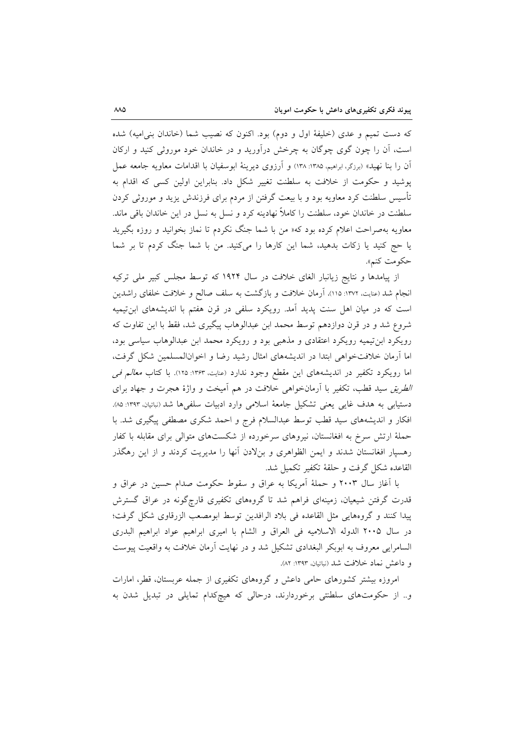كه دست تميم و عدى (خليفة اول و دوم) بود. اكنون كه نصيب شما (خاندان بني اميه) شده است، آن را چون گوی چوگان به چرخش درآورید و در خاندان خود موروثی کنید و ارکان اّن را بنا نهید» (برزگر،ابراهیم، ۱۳۸۵: ۱۳۸) و اّرزوی دیرینهٔ ابوسفیان با اقدامات معاویه جامعه عمل پوشید و حکومت از خلافت به سلطنت تغییر شکل داد. بنابراین اولین کسی که اقدام به تأسیس سلطنت کرد معاویه بود و با بیعت گرفتن از مردم برای فرزندش یزید و موروثی کردن سلطنت در خاندان خود، سلطنت را کاملاً نهادینه کرد و نسل به نسل در این خاندان باقی ماند. معاویه بهصراحت اعلام کرده بود که« من با شما جنگ نکردم تا نماز بخوانید و روزه بگیرید یا حج کنید یا زکات بدهید، شما این کارها را میکنید. من با شما جنگ کردم تا بر شما حكومت كنم».

از پیامدها و نتایج زیانبار الغای خلافت در سال ۱۹۲۴ که توسط مجلس کبیر ملی ترکیه انجام شد (عنایت، ۱۳۷۲: ۱۱۵)، آرمان خلافت و بازگشت به سلف صالح و خلافت خلفای راشدین است که در میان اهل سنت پدید آمد. رویکرد سلفی در قرن هفتم با اندیشههای ابنتیمیه شروع شد و در قرن دوازدهم توسط محمد ابن عبدالوهاب پیگیری شد، فقط با این تفاوت که رویکرد ابن تیمیه رویکرد اعتقادی و مذهبی بود و رویکرد محمد ابن عبدالوهاب سیاسی بود، اما آرمان خلافتخواهی ابتدا در اندیشههای امثال رشید رضا و اخوانالمسلمین شکل گرفت، اما رویکرد تکفیر در اندیشههای این مقطع وجود ندارد (عنایت، ۱۳۶۳: ۱۲۵). با کتاب *معالم فی* الطريق سيد قطب، تكفير با آرمانخواهي خلافت در هم آميخت و واژهٔ هجرت و جهاد براى دستیابی به هدف غایی یعنی تشکیل جامعهٔ اسلامی وارد ادبیات سلفیها شد (نباتیان، ۱۳۹۳: ۸۵). افکار و اندیشههای سید قطب توسط عبدالسلام فرج و احمد شکری مصطفی پیگیری شد. با حملهٔ ارتش سرخ به افغانستان، نیروهای سرخورده از شکستهای متوالی برای مقابله با کفار رهسپار افغانستان شدند و ایمن الظواهری و بنلادن آنها را مدیریت کردند و از این رهگذر القاعده شكل گرفت و حلقهٔ تكفير تكميل شد.

با آغاز سال ۲۰۰۳ و حملهٔ آمریکا به عراق و سقوط حکومت صدام حسین در عراق و قدرت گرفتن شیعیان، زمینهای فراهم شد تا گروههای تکفیری قارچگونه در عراق گسترش ييدا كنند و گروههايي مثل القاعده في بلاد الرافدين توسط ابومصعب الزرقاوي شكل گرفت؛ در سال ٢٠٠٥ الدوله الاسلاميه في العراق و الشام با اميري ابراهيم عواد ابراهيم البدري السامرايي معروف به ابوبكر البغدادي تشكيل شد و در نهايت آرمان خلافت به واقعيت پيوست و داعش نماد خلافت شد (نباتیان، ۱۳۹۳: ۸۲).

امروزه بیشتر کشورهای حامی داعش و گروههای تکفیری از جمله عربستان، قطر، امارات و.. از حکومتهای سلطنتی برخوردارند، درحالی که هیچکدام تمایلی در تبدیل شدن به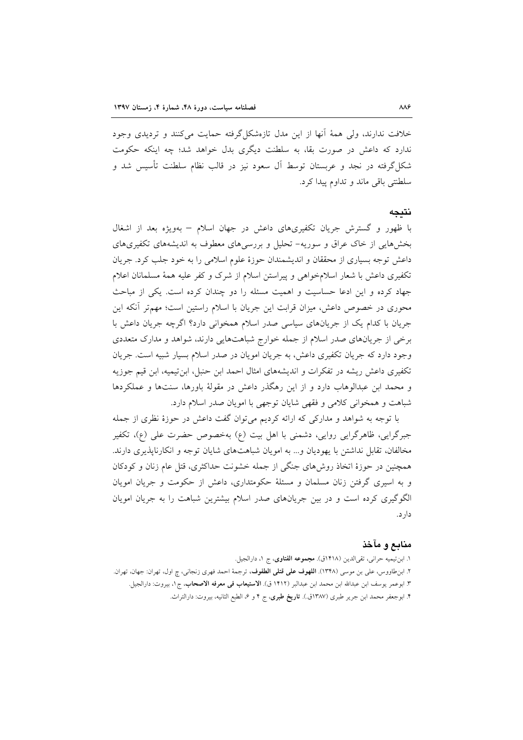خلافت ندارند، ولي همهٔ آنها از اين مدل تازهشكل گرفته حمايت مي كنند و ترديدي وجود ندارد که داعش در صورت بقا، به سلطنت دیگری بدل خواهد شد؛ چه اینکه حکومت شکل گرفته در نجد و عربستان توسط آل سعود نیز در قالب نظام سلطنت تأسیس شد و سلطنتي باقي ماند و تداوم پيدا كرد.

### نتىجە

با ظهور و گسترش جریان تکفیریهای داعش در جهان اسلام – بهویژه بعد از اشغال بخشهایی از خاک عراق و سوریه- تحلیل و بررسیهای معطوف به اندیشههای تکفیریهای داعش توجه بسیاری از محققان و اندیشمندان حوزهٔ علوم اسلامی را به خود جلب کرد. جریان تکفیری داعش با شعار اسلامخواهی و پیراستن اسلام از شرک و کفر علیه همهٔ مسلمانان اعلام جهاد کرده و این ادعا حساسیت و اهمیت مسئله را دو چندان کرده است. یکی از مباحث محوری در خصوص داعش، میزان قرابت این جریان با اسلام راستین است؛ مهمتر آنکه این جریان با کدام یک از جریانهای سیاسی صدر اسلام همخوانی دارد؟ اگرچه جریان داعش با برخی از جریانهای صدر اسلام از جمله خوارج شباهتهایی دارند، شواهد و مدارک متعددی وجود دارد که جریان تکفیری داعش، به جریان امویان در صدر اسلام بسیار شبیه است. جریان تکفیری داعش ریشه در تفکرات و اندیشههای امثال احمد ابن حنبل، ابن تیمیه، ابن قیم جوزیه و محمد ابن عبدالوهاب دارد و از این رهگذر داعش در مقولهٔ باورها، سنتها و عملکردها شباهت و همخوانی کلامی و فقهی شایان توجهی با امویان صدر اسلام دارد.

با توجه به شواهد و مدارکی که ارائه کردیم می توان گفت داعش در حوزهٔ نظری از جمله جبرگرایی، ظاهرگرایی روایی، دشمنی با اهل بیت (ع) بهخصوص حضرت علی (ع)، تکفیر مخالفان، تقابل نداشتن با یهودیان و… به امویان شباهتهای شایان توجه و انکارناپذیری دارند. همچنین در حوزهٔ اتخاذ روشهای جنگی از جمله خشونت حداکثری، قتل عام زنان و کودکان و به اسیری گرفتن زنان مسلمان و مسئلهٔ حکومتداری، داعش از حکومت و جریان امویان الگوگیری کرده است و در بین جریانهای صدر اسلام بیشترین شباهت را به جریان امویان دار د.

### منابع و مآخذ

١. ابن تيميه حراني، تقىالدين (١٤١٨ق). مجموعه الفتاوى، ج ١، دارالجيل. ۲. ابنطاووس، علي بن موسى (١٣۴٨). ا**للهوف علي قتلي الطفوف**، ترجمة احمد فهري زنجاني، چ اول، تهران: جهان، تهران. ٣. ابوعمر يوسف ابن عبدالله ابن محمد ابن عبدالبر (١٤١٢ ق). **الاستيعاب في معرفه الاصحاب**، ج1، بيروت: دارالجيل. ۴. ابوجعفر محمد ابن جرير طبري (۱۳۸۷ق.). **تاريخ طبري**، ج ۴ و ۶، الطبع الثانيه، بيروت: دارالتراث.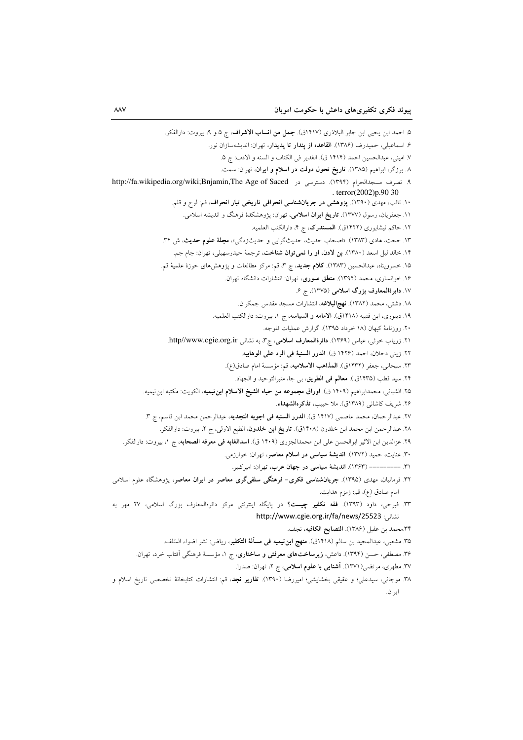۵. احمد ابن يحيى ابن جابر البلاذري (١۴١٧ق). جمل من انساب الاشراف، ج ۵ و ۹، بيروت: دارالفكر. ۶. اسماعیلی، حمیدرضا (۱۳۸۶). ا**لقاعده از یندار تا یدیدار**، تهران: اندیشهسازان نور. ٧. اميني، عبدالحسين احمد (١۴١۴ ق). الغدير في الكتاب و السنه و الادب: ج ۵. ٨. برزگر، ابراهیم (١٣٨٥). تاریخ تحول دولت در اسلام و ایران، تهران: سمت. ٩. تصرف مسجدالحرام (١٣٩۴). دسترسی در http://fa.wikipedia.org/wiki;Bnjamin,The Age of Saced . terror $(2002)$ p.90 30 ۱۰. تائب، مهدی (۱۳۹۰). پژوهشی در جریانشناسی انحرافی تاریخی تبار انحراف، قم: لوح و قلم. ۱۱. جعفریان، رسول (۱۳۷۷). **تاریخ ایران اسلامی**، تهران: پژوهشکدهٔ فرهنگ و اندیشه اسلامی. ١٢. حاكم نيشابوري (١٤٢٢ق). المستدرك، ج ۴، دارالكتب العلميه. ۱۳. حجت، هادی (۱۳۸۳). «اصحاب حدیث، حدیثگرایی و حدیثزدگی»، م**جلهٔ علوم حدیث**، ش ۳۴. ۱۴. خالد لیل اسعد (۱۳۸۰). بن لادن، او را نمیتوان شناخت، ترجمهٔ حیدرسهیلی، تهران: جام جم. ۱۵. خسرويناه، عبدالحسين (۱۳۸۳). كلام جديد، چ ۳، قم: مركز مطالعات و يژوهشهاى حوزهٔ علميهٔ قم. ۱۶. خوانساری، محمد (۱۳۹۴). منطق صوری، تهران: انتشارات دانشگاه تهران. ١٧. دايرةالمعارف بزرگ اسلامي (١٣٧۵). ج ۶. ١٨. دشتي، محمد (١٣٨٢). نهج البلاغه، انتشارات مسجد مقدس جمكران. ۱۹. دینوری، ابن قتیبه (۱۴۱۸ق). الامامه و السیاسه، ج ۱، بیروت: دارالکتب العلمیه. ۲۰. روزنامهٔ کیهان (۱۸ خرداد ۱۳۹۵). گزارش عملیات فلوجه. ٢١. زرياب خوئي، عباس (١٣۶٩). دائرةالمعارف اسلامي، ج٣، به نشاني http//www.cgie.org.ir. ٢٢. زيني دحلان، احمد (١٤٢۶ ق). الدرر السنية في الرد على الوهابيه. ٢٣. سبحاني، جعفر (١٤٣٢ق). المذاهب الاسلاميه، قم: مؤسسة امام صادق(ع). ٢۴. سيد قطب (١۴٣٥ق.). معالم في الطريق، بي جا، منبرالتوحيد و الجهاد. ٢۵. الشباني، محمدابراهيم (١۴٠٩ ق). ا**وراق مجموعه من حياه الشيخ الاسلام ابن تيميه**، الكويت: مكتبه ابن تيميه. ٢۶. شريف كاشاني (١٣٨٩ق). ملا حبيب، تذكرهالشهداء. ٢٧. عبدالرحمان، محمد عاصمي (١۴١٧ ق). **الدرر السنيه في اجوبه النجديه**، عبدالرحمن محمد ابن قاسم، ج ٣. ۲۸. عبدالرحمن ابن محمد ابن خلدون (۱۴۰۸ق). **تاریخ ابن خلدون**، الطبع الاولی، ج ۲، بیروت: دارالفکر. ٢٩. عزالدين ابن الاثير ابوالحسن على ابن محمدالجزري (١۴٠٩ ق). **اسدالغابه في معرفه الصحابه**، ج ١، بيروت: دارالفكر. ۳۰. عنایت، حمید (۱۳۷۲). اندیشهٔ سیاسی در اسلام معاصر، تهران: خوارزمی. ٣١. --------- (١٣۶٣). انديشة سياسي در جهان عرب، تهران: اميركبير. ۳۲. فرمانیان، مهدی (۱۳۹۵). جری**انشناسی فکری- فرهنگی سلفیگری معاصر در ایران معاصر**، پژوهشگاه علوم اسلامی امام صادق (ع)، قم: زمزم هدايت. ۳۳. فیرحی، داود (۱۳۹۳). فق<mark>ه تکفیر چیست؟</mark> در پایگاه اینترنتی مرکز دائرەالمعارف بزرگ اسلامی، ۲۷ مهر به نشانی: http://www.cgie.org.ir/fa/news/25523 ٣۴.محمد بن عقيل (١٣٨۶). النصايح الكافيه، نجف. ٣۵. مشعبي، عبدالمجيد بن سالم (١۴١٨ق). منهج ابن تيميه في مسألة التكفير، رياض: نشر اضواء السّلف. ۳۶. مصطفی، حسن (۱۳۹۴). داعش، **زیرساختهای معرفتی و ساختاری**، ج ۱، مؤسسهٔ فرهنگی اَفتاب خرد، تهران. ۳۷. مطهری، مرتضی(۱۳۷۱). <mark>آشنایی با علوم اسلامی</mark>، ج ۲، تهران: صدرا. ۳۸. موجانی، سیدعلی؛ و عقیقی بخشایشهِ؛ امیررضا (۱۳۹۰). **تقاریر نجد**، قم: انتشارات کتابخانهٔ تخصصی تاریخ اسلام و ايران.